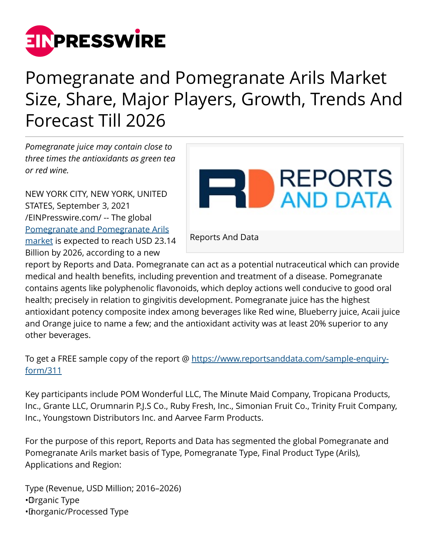

# Pomegranate and Pomegranate Arils Market Size, Share, Major Players, Growth, Trends And Forecast Till 2026

*Pomegranate juice may contain close to three times the antioxidants as green tea or red wine.*

NEW YORK CITY, NEW YORK, UNITED STATES, September 3, 2021 [/EINPresswire.com/](http://www.einpresswire.com) -- The global [Pomegranate and Pomegranate Arils](https://www.reportsanddata.com/report-detail/pomegranate-and-pomegranate-arils-market) [market](https://www.reportsanddata.com/report-detail/pomegranate-and-pomegranate-arils-market) is expected to reach USD 23.14 Billion by 2026, according to a new



report by Reports and Data. Pomegranate can act as a potential nutraceutical which can provide medical and health benefits, including prevention and treatment of a disease. Pomegranate contains agents like polyphenolic flavonoids, which deploy actions well conducive to good oral health; precisely in relation to gingivitis development. Pomegranate juice has the highest antioxidant potency composite index among beverages like Red wine, Blueberry juice, Acaii juice and Orange juice to name a few; and the antioxidant activity was at least 20% superior to any other beverages.

To get a FREE sample copy of the report @ [https://www.reportsanddata.com/sample-enquiry](https://www.reportsanddata.com/sample-enquiry-form/311)[form/311](https://www.reportsanddata.com/sample-enquiry-form/311)

Key participants include POM Wonderful LLC, The Minute Maid Company, Tropicana Products, Inc., Grante LLC, Orumnarin P.J.S Co., Ruby Fresh, Inc., Simonian Fruit Co., Trinity Fruit Company, Inc., Youngstown Distributors Inc. and Aarvee Farm Products.

For the purpose of this report, Reports and Data has segmented the global Pomegranate and Pomegranate Arils market basis of Type, Pomegranate Type, Final Product Type (Arils), Applications and Region:

Type (Revenue, USD Million; 2016–2026) • Organic Type • Inorganic/Processed Type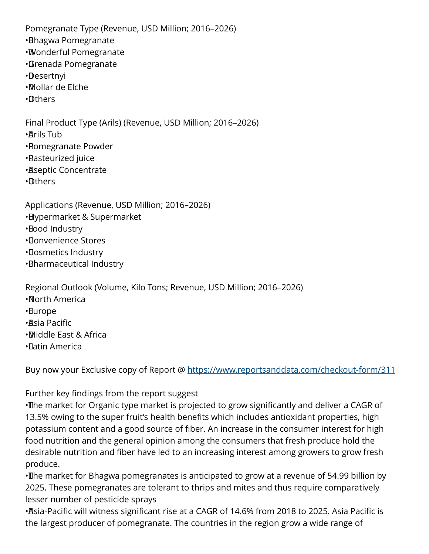Pomegranate Type (Revenue, USD Million; 2016–2026)

- • Bhagwa Pomegranate
- • Wonderful Pomegranate
- • Grenada Pomegranate
- • Desertnyi
- • Mollar de Elche
- • Others

Final Product Type (Arils) (Revenue, USD Million; 2016–2026)

- • Arils Tub
- • Pomegranate Powder
- • Pasteurized juice
- • Aseptic Concentrate
- • Others

Applications (Revenue, USD Million; 2016–2026)

- • Hypermarket & Supermarket
- • Food Industry
- • Convenience Stores
- • Cosmetics Industry
- • Pharmaceutical Industry

Regional Outlook (Volume, Kilo Tons; Revenue, USD Million; 2016–2026)

- • North America
- • Europe
- • Asia Pacific
- • Middle East & Africa
- • Latin America

Buy now your Exclusive copy of Report @ <https://www.reportsanddata.com/checkout-form/311>

## Further key findings from the report suggest

• The market for Organic type market is projected to grow significantly and deliver a CAGR of 13.5% owing to the super fruit's health benefits which includes antioxidant properties, high potassium content and a good source of fiber. An increase in the consumer interest for high food nutrition and the general opinion among the consumers that fresh produce hold the desirable nutrition and fiber have led to an increasing interest among growers to grow fresh produce.

• The market for Bhagwa pomegranates is anticipated to grow at a revenue of 54.99 billion by 2025. These pomegranates are tolerant to thrips and mites and thus require comparatively lesser number of pesticide sprays

·Asia-Pacific will witness significant rise at a CAGR of 14.6% from 2018 to 2025. Asia Pacific is the largest producer of pomegranate. The countries in the region grow a wide range of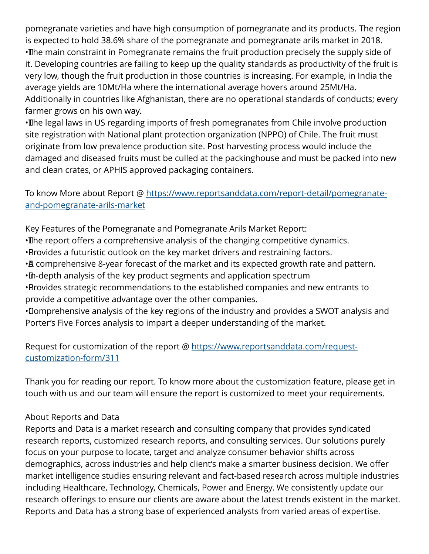pomegranate varieties and have high consumption of pomegranate and its products. The region is expected to hold 38.6% share of the pomegranate and pomegranate arils market in 2018. • The main constraint in Pomegranate remains the fruit production precisely the supply side of it. Developing countries are failing to keep up the quality standards as productivity of the fruit is very low, though the fruit production in those countries is increasing. For example, in India the average yields are 10Mt/Ha where the international average hovers around 25Mt/Ha. Additionally in countries like Afghanistan, there are no operational standards of conducts; every farmer grows on his own way.

• The legal laws in US regarding imports of fresh pomegranates from Chile involve production site registration with National plant protection organization (NPPO) of Chile. The fruit must originate from low prevalence production site. Post harvesting process would include the damaged and diseased fruits must be culled at the packinghouse and must be packed into new and clean crates, or APHIS approved packaging containers.

#### To know More about Report @ [https://www.reportsanddata.com/report-detail/pomegranate](https://www.reportsanddata.com/report-detail/pomegranate-and-pomegranate-arils-market)[and-pomegranate-arils-market](https://www.reportsanddata.com/report-detail/pomegranate-and-pomegranate-arils-market)

Key Features of the Pomegranate and Pomegranate Arils Market Report:

- The report offers a comprehensive analysis of the changing competitive dynamics.
- • Provides a futuristic outlook on the key market drivers and restraining factors.
- • A comprehensive 8-year forecast of the market and its expected growth rate and pattern.
- In-depth analysis of the key product segments and application spectrum
- • Provides strategic recommendations to the established companies and new entrants to provide a competitive advantage over the other companies.

• Comprehensive analysis of the key regions of the industry and provides a SWOT analysis and Porter's Five Forces analysis to impart a deeper understanding of the market.

### Request for customization of the report @ [https://www.reportsanddata.com/request](https://www.reportsanddata.com/request-customization-form/311)[customization-form/311](https://www.reportsanddata.com/request-customization-form/311)

Thank you for reading our report. To know more about the customization feature, please get in touch with us and our team will ensure the report is customized to meet your requirements.

#### About Reports and Data

Reports and Data is a market research and consulting company that provides syndicated research reports, customized research reports, and consulting services. Our solutions purely focus on your purpose to locate, target and analyze consumer behavior shifts across demographics, across industries and help client's make a smarter business decision. We offer market intelligence studies ensuring relevant and fact-based research across multiple industries including Healthcare, Technology, Chemicals, Power and Energy. We consistently update our research offerings to ensure our clients are aware about the latest trends existent in the market. Reports and Data has a strong base of experienced analysts from varied areas of expertise.